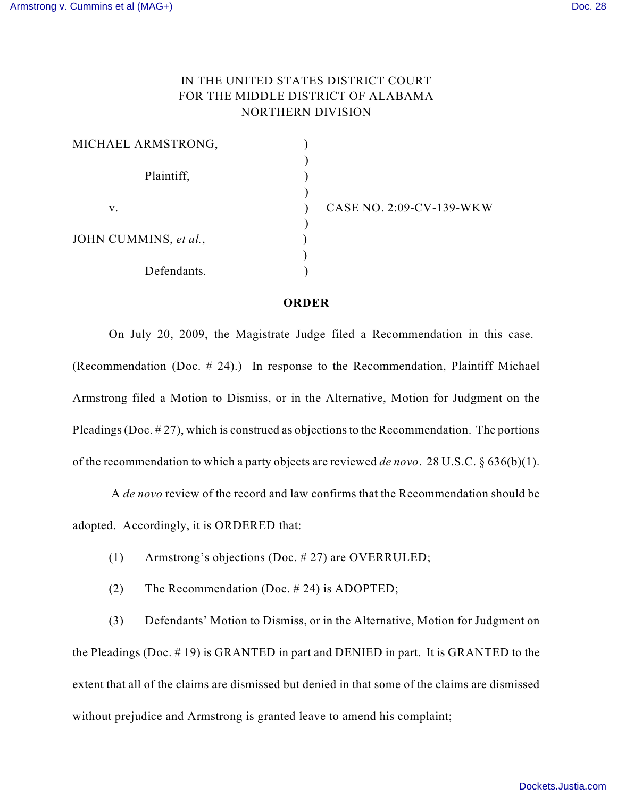## IN THE UNITED STATES DISTRICT COURT FOR THE MIDDLE DISTRICT OF ALABAMA NORTHERN DIVISION

| MICHAEL ARMSTRONG,    |  |
|-----------------------|--|
| Plaintiff,            |  |
|                       |  |
| V.                    |  |
| JOHN CUMMINS, et al., |  |
| Defendants.           |  |

CASE NO. 2:09-CV-139-WKW

## **ORDER**

On July 20, 2009, the Magistrate Judge filed a Recommendation in this case. (Recommendation (Doc. # 24).) In response to the Recommendation, Plaintiff Michael Armstrong filed a Motion to Dismiss, or in the Alternative, Motion for Judgment on the Pleadings (Doc.  $\#27$ ), which is construed as objections to the Recommendation. The portions of the recommendation to which a party objects are reviewed *de novo*. 28 U.S.C. § 636(b)(1).

A *de novo* review of the record and law confirms that the Recommendation should be adopted. Accordingly, it is ORDERED that:

- (1) Armstrong's objections (Doc. # 27) are OVERRULED;
- (2) The Recommendation (Doc. # 24) is ADOPTED;

(3) Defendants' Motion to Dismiss, or in the Alternative, Motion for Judgment on the Pleadings (Doc. # 19) is GRANTED in part and DENIED in part. It is GRANTED to the extent that all of the claims are dismissed but denied in that some of the claims are dismissed without prejudice and Armstrong is granted leave to amend his complaint;